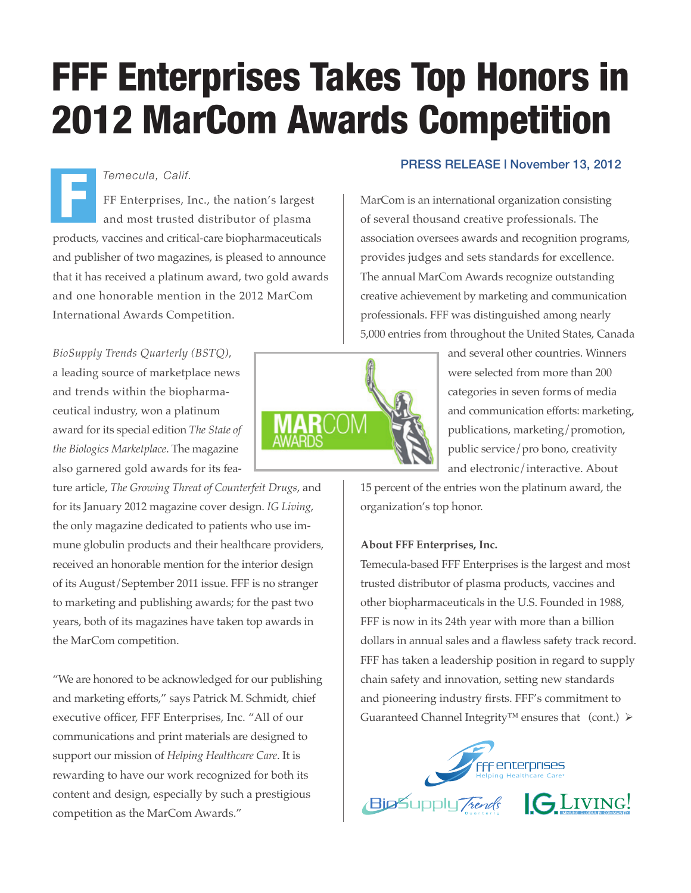# FFF Enterprises Takes Top Honors in 2012 MarCom Awards Competition

## *Temecula, Calif.*

FF Enterprises, Inc., the nation's largest and most trusted distributor of plasma products, vaccines and critical-care biopharmaceuticals and publisher of two magazines, is pleased to announce that it has received a platinum award, two gold awards and one honorable mention in the 2012 MarCom International Awards Competition. F

*BioSupply Trends Quarterly (BSTQ)*, a leading source of marketplace news and trends within the biopharmaceutical industry, won a platinum award for its special edition *The State of the Biologics Marketplace*. The magazine also garnered gold awards for its fea-

ture article, *The Growing Threat of Counterfeit Drugs*, and for its January 2012 magazine cover design. *IG Living*, the only magazine dedicated to patients who use immune globulin products and their healthcare providers, received an honorable mention for the interior design of its August/September 2011 issue. FFF is no stranger to marketing and publishing awards; for the past two years, both of its magazines have taken top awards in the MarCom competition.

"We are honored to be acknowledged for our publishing and marketing efforts," says Patrick M. Schmidt, chief executive officer, FFF Enterprises, Inc. "All of our communications and print materials are designed to support our mission of *Helping Healthcare Care*. It is rewarding to have our work recognized for both its content and design, especially by such a prestigious competition as the MarCom Awards."

# PRESS RELEASE | November 13, 2012

MarCom is an international organization consisting of several thousand creative professionals. The association oversees awards and recognition programs, provides judges and sets standards for excellence. The annual MarCom Awards recognize outstanding creative achievement by marketing and communication professionals. FFF was distinguished among nearly 5,000 entries from throughout the United States, Canada

> and several other countries. Winners were selected from more than 200 categories in seven forms of media and communication efforts: marketing, publications, marketing/promotion, public service/pro bono, creativity and electronic/interactive. About

15 percent of the entries won the platinum award, the organization's top honor.

## **About FFF Enterprises, Inc.**

Temecula-based FFF Enterprises is the largest and most trusted distributor of plasma products, vaccines and other biopharmaceuticals in the U.S. Founded in 1988, FFF is now in its 24th year with more than a billion dollars in annual sales and a flawless safety track record. FFF has taken a leadership position in regard to supply chain safety and innovation, setting new standards and pioneering industry firsts. FFF's commitment to Guaranteed Channel Integrity<sup>™</sup> ensures that (cont.)  $\triangleright$